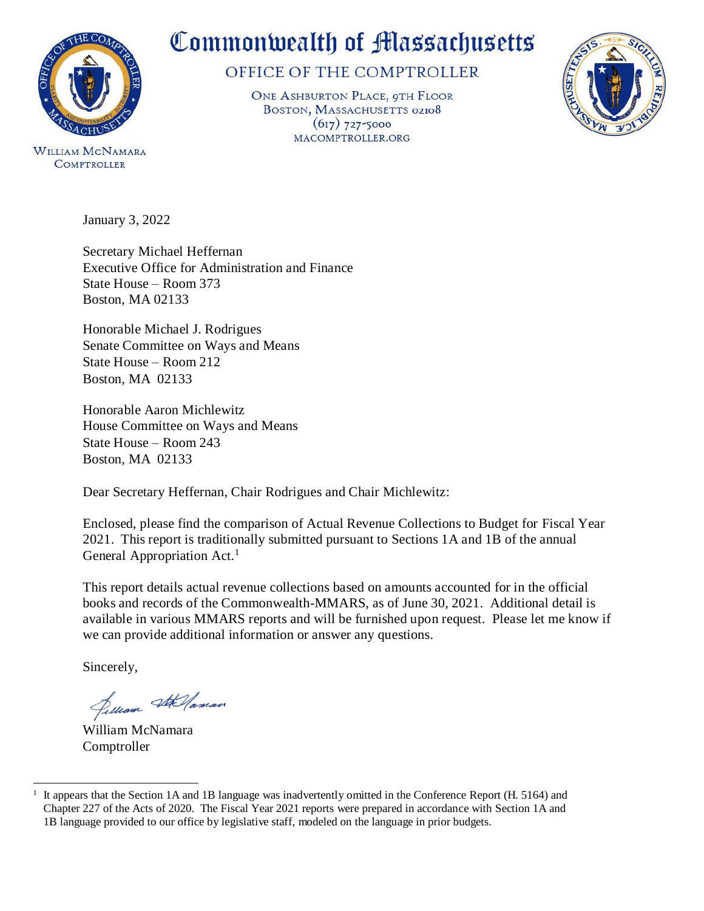

# OFFICE OF THE COMPTROLLER

ONE ASHBURTON PLACE, 9TH FLOOR BOSTON, MASSACHUSETTS 02108  $(617)$  727-5000 MACOMPTROLLER.ORG



WILLIAM MCNAMARA **COMPTROLLER** 

January 3, 2022

Secretary Michael Heffernan Executive Office for Administration and Finance State House – Room 373 Boston, MA 02133

Honorable Michael J. Rodrigues Senate Committee on Ways and Means State House – Room 212 Boston, MA 02133

Honorable Aaron Michlewitz House Committee on Ways and Means State House – Room 243 Boston, MA 02133

Dear Secretary Heffernan, Chair Rodrigues and Chair Michlewitz:

Enclosed, please find the comparison of Actual Revenue Collections to Budget for Fiscal Year 2021. This report is traditionally submitted pursuant to Sections 1A and 1B of the annual General Appropriation Act.<sup>1</sup>

This report details actual revenue collections based on amounts accounted for in the official books and records of the Commonwealth-MMARS, as of June 30, 2021. Additional detail is available in various MMARS reports and will be furnished upon request. Please let me know if we can provide additional information or answer any questions.

Sincerely,

 $\overline{a}$ 

Pelliam Stellaman

William McNamara Comptroller

<sup>1</sup> It appears that the Section 1A and 1B language was inadvertently omitted in the Conference Report (H. 5164) and Chapter 227 of the Acts of 2020. The Fiscal Year 2021 reports were prepared in accordance with Section 1A and 1B language provided to our office by legislative staff, modeled on the language in prior budgets.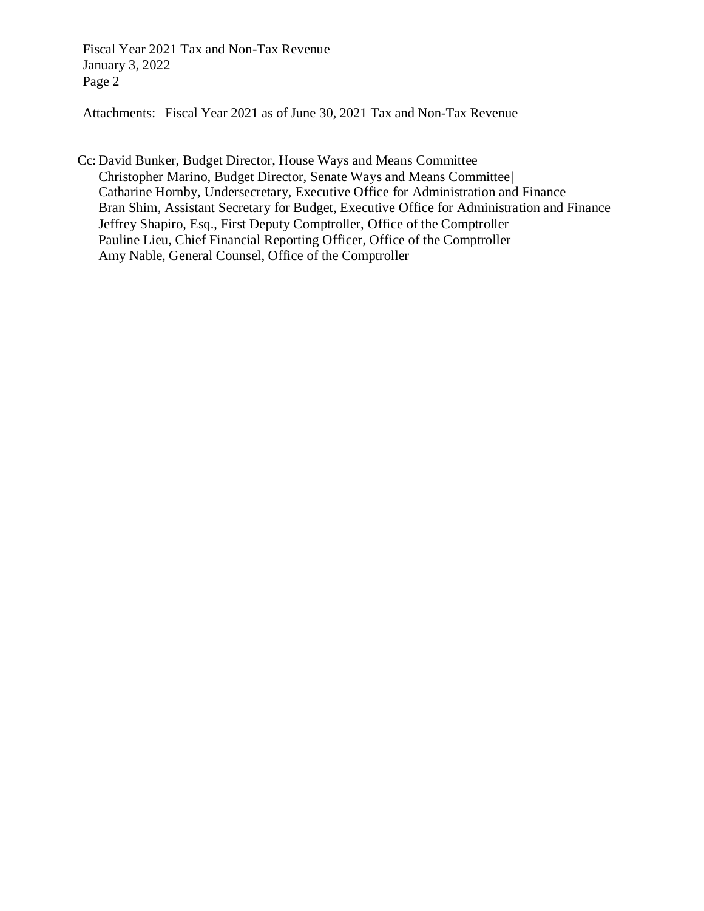Fiscal Year 2021 Tax and Non-Tax Revenue January 3, 2022 Page 2

Attachments: Fiscal Year 2021 as of June 30, 2021 [Tax](#page-2-0) and [Non-Tax Revenue](#page-3-0)

Cc: David Bunker, Budget Director, House Ways and Means Committee Christopher Marino, Budget Director, Senate Ways and Means Committee| Catharine Hornby, Undersecretary, Executive Office for Administration and Finance Bran Shim, Assistant Secretary for Budget, Executive Office for Administration and Finance Jeffrey Shapiro, Esq., First Deputy Comptroller, Office of the Comptroller Pauline Lieu, Chief Financial Reporting Officer, Office of the Comptroller Amy Nable, General Counsel, Office of the Comptroller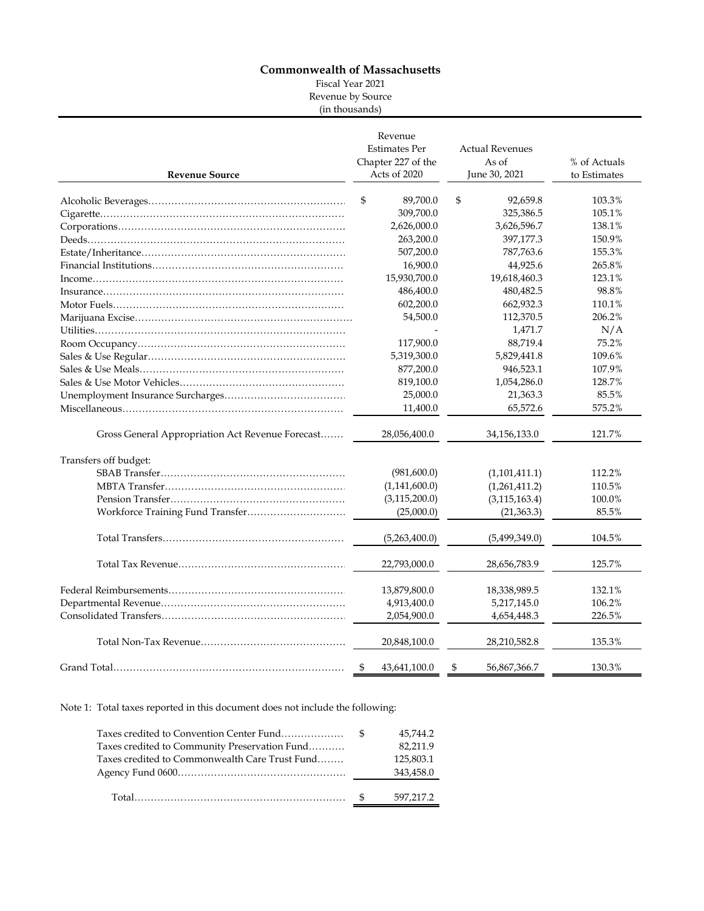Fiscal Year 2021 Revenue by Source (in thousands)

<span id="page-2-0"></span>

| <b>Revenue Source</b>                            | Revenue<br><b>Estimates Per</b><br>Chapter 227 of the<br>Acts of 2020 | <b>Actual Revenues</b><br>As of<br>June 30, 2021 | % of Actuals<br>to Estimates |
|--------------------------------------------------|-----------------------------------------------------------------------|--------------------------------------------------|------------------------------|
|                                                  | \$<br>89,700.0                                                        | \$<br>92,659.8                                   | 103.3%                       |
|                                                  | 309,700.0                                                             | 325,386.5                                        | 105.1%                       |
|                                                  | 2,626,000.0                                                           | 3,626,596.7                                      | 138.1%                       |
|                                                  | 263,200.0                                                             | 397,177.3                                        | 150.9%                       |
|                                                  | 507,200.0                                                             | 787,763.6                                        | 155.3%                       |
|                                                  | 16,900.0                                                              | 44,925.6                                         | 265.8%                       |
|                                                  | 15,930,700.0                                                          | 19,618,460.3                                     | 123.1%                       |
|                                                  | 486,400.0                                                             | 480.482.5                                        | 98.8%                        |
|                                                  | 602,200.0                                                             | 662,932.3                                        | 110.1%                       |
|                                                  | 54,500.0                                                              | 112,370.5                                        | 206.2%                       |
|                                                  |                                                                       | 1,471.7                                          | N/A                          |
|                                                  | 117,900.0                                                             | 88,719.4                                         | 75.2%                        |
|                                                  | 5,319,300.0                                                           | 5,829,441.8                                      | 109.6%                       |
|                                                  | 877,200.0                                                             | 946,523.1                                        | 107.9%                       |
|                                                  | 819,100.0                                                             | 1,054,286.0                                      | 128.7%                       |
|                                                  | 25,000.0                                                              | 21,363.3                                         | 85.5%                        |
|                                                  | 11,400.0                                                              | 65,572.6                                         | 575.2%                       |
| Gross General Appropriation Act Revenue Forecast | 28,056,400.0                                                          | 34,156,133.0                                     | 121.7%                       |
| Transfers off budget:                            |                                                                       |                                                  |                              |
|                                                  | (981,600.0)                                                           | (1,101,411.1)                                    | 112.2%                       |
|                                                  | (1,141,600.0)                                                         | (1,261,411.2)                                    | 110.5%                       |
|                                                  | (3, 115, 200.0)                                                       | (3, 115, 163.4)                                  | 100.0%                       |
|                                                  | (25,000.0)                                                            | (21, 363.3)                                      | 85.5%                        |
|                                                  | (5,263,400.0)                                                         | (5,499,349.0)                                    | 104.5%                       |
|                                                  | 22,793,000.0                                                          | 28,656,783.9                                     | 125.7%                       |
|                                                  | 13,879,800.0                                                          | 18,338,989.5                                     | 132.1%                       |
|                                                  | 4,913,400.0                                                           | 5,217,145.0                                      | 106.2%                       |
|                                                  | 2,054,900.0                                                           | 4,654,448.3                                      | 226.5%                       |
|                                                  | 20,848,100.0                                                          | 28,210,582.8                                     | 135.3%                       |
|                                                  | \$<br>43,641,100.0                                                    | \$<br>56,867,366.7                               | 130.3%                       |

Note 1: Total taxes reported in this document does not include the following:

| Taxes credited to Community Preservation Fund<br>Taxes credited to Commonwealth Care Trust Fund | 45,744.2<br>82,211.9<br>125,803.1<br>343.458.0 |
|-------------------------------------------------------------------------------------------------|------------------------------------------------|
|                                                                                                 | 597.217.2                                      |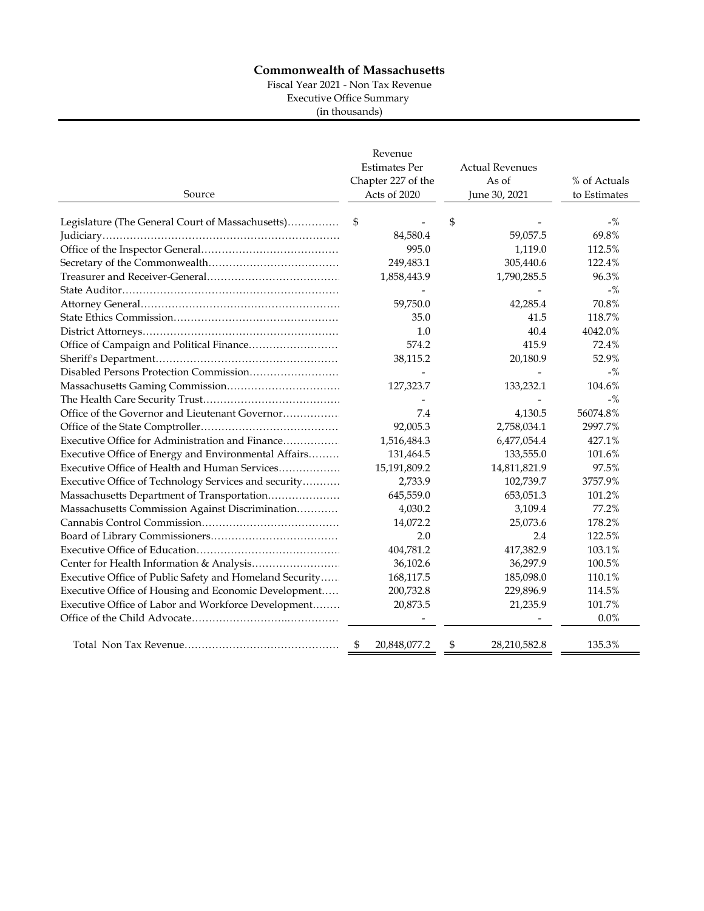Fiscal Year 2021 - Non Tax Revenue

Executive Office Summary

(in thousands)

<span id="page-3-0"></span>

| Source                                                  | Revenue<br><b>Estimates Per</b><br>Chapter 227 of the<br>Acts of 2020 | <b>Actual Revenues</b><br>As of<br>June 30, 2021 | % of Actuals<br>to Estimates |
|---------------------------------------------------------|-----------------------------------------------------------------------|--------------------------------------------------|------------------------------|
| Legislature (The General Court of Massachusetts)        | \$                                                                    | \$                                               | $-$ %                        |
|                                                         | 84,580.4                                                              | 59,057.5                                         | 69.8%                        |
|                                                         | 995.0                                                                 | 1,119.0                                          | 112.5%                       |
|                                                         | 249,483.1                                                             | 305,440.6                                        | 122.4%                       |
|                                                         | 1,858,443.9                                                           | 1,790,285.5                                      | 96.3%                        |
|                                                         |                                                                       |                                                  | $-$ %                        |
|                                                         | 59,750.0                                                              | 42,285.4                                         | 70.8%                        |
|                                                         | 35.0                                                                  | 41.5                                             | 118.7%                       |
|                                                         | 1.0                                                                   | 40.4                                             | 4042.0%                      |
|                                                         | 574.2                                                                 | 415.9                                            | 72.4%                        |
|                                                         | 38,115.2                                                              | 20,180.9                                         | 52.9%                        |
|                                                         |                                                                       |                                                  | $-$ %                        |
|                                                         | 127,323.7                                                             | 133,232.1                                        | 104.6%                       |
|                                                         |                                                                       |                                                  | $-$ %                        |
| Office of the Governor and Lieutenant Governor          | 7.4                                                                   | 4,130.5                                          | 56074.8%                     |
|                                                         | 92,005.3                                                              | 2,758,034.1                                      | 2997.7%                      |
| Executive Office for Administration and Finance         | 1,516,484.3                                                           | 6,477,054.4                                      | 427.1%                       |
| Executive Office of Energy and Environmental Affairs    | 131,464.5                                                             | 133,555.0                                        | 101.6%                       |
| Executive Office of Health and Human Services           | 15,191,809.2                                                          | 14,811,821.9                                     | 97.5%                        |
| Executive Office of Technology Services and security    | 2,733.9                                                               | 102,739.7                                        | 3757.9%                      |
| Massachusetts Department of Transportation              | 645,559.0                                                             | 653,051.3                                        | 101.2%                       |
| Massachusetts Commission Against Discrimination         | 4,030.2                                                               | 3,109.4                                          | 77.2%                        |
|                                                         | 14,072.2                                                              | 25,073.6                                         | 178.2%                       |
|                                                         | 2.0                                                                   | 2.4                                              | 122.5%                       |
|                                                         | 404,781.2                                                             | 417,382.9                                        | 103.1%                       |
|                                                         | 36,102.6                                                              | 36,297.9                                         | 100.5%                       |
| Executive Office of Public Safety and Homeland Security | 168,117.5                                                             | 185,098.0                                        | 110.1%                       |
| Executive Office of Housing and Economic Development    | 200,732.8                                                             | 229,896.9                                        | 114.5%                       |
| Executive Office of Labor and Workforce Development     | 20,873.5                                                              | 21,235.9                                         | 101.7%                       |
|                                                         |                                                                       |                                                  | 0.0%                         |
|                                                         | \$<br>20,848,077.2                                                    | \$<br>28,210,582.8                               | 135.3%                       |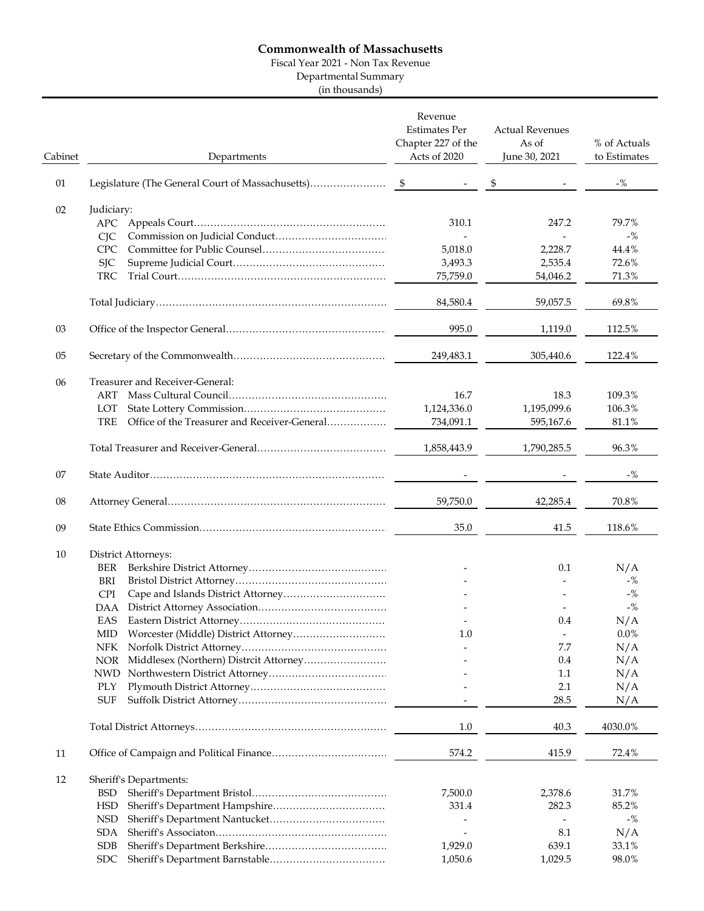Fiscal Year 2021 - Non Tax Revenue

Departmental Summary

(in thousands)

| Cabinet | Departments                                                | Revenue<br><b>Estimates Per</b><br>Chapter 227 of the<br>Acts of 2020 | <b>Actual Revenues</b><br>As of<br>June 30, 2021 | % of Actuals<br>to Estimates                  |
|---------|------------------------------------------------------------|-----------------------------------------------------------------------|--------------------------------------------------|-----------------------------------------------|
| 01      |                                                            |                                                                       | \$                                               | $\mathbin{\mathcal{-}}\mathop{\mathscr{Y}}_0$ |
| 02      | Judiciary:                                                 | 310.1                                                                 | 247.2                                            | 79.7%                                         |
|         | <b>CIC</b>                                                 |                                                                       |                                                  | $-$ %                                         |
|         | <b>CPC</b>                                                 | 5,018.0                                                               | 2,228.7                                          | 44.4%                                         |
|         | <b>SJC</b>                                                 | 3,493.3                                                               | 2,535.4                                          | 72.6%                                         |
|         | <b>TRC</b>                                                 | 75,759.0                                                              | 54,046.2                                         | 71.3%                                         |
|         |                                                            | 84,580.4                                                              | 59,057.5                                         | 69.8%                                         |
| 03      |                                                            | 995.0                                                                 | 1,119.0                                          | 112.5%                                        |
| 05      |                                                            | 249,483.1                                                             | 305,440.6                                        | 122.4%                                        |
| 06      | Treasurer and Receiver-General:                            |                                                                       |                                                  |                                               |
|         | ART                                                        | 16.7                                                                  | 18.3                                             | 109.3%                                        |
|         | LOT                                                        | 1,124,336.0                                                           | 1,195,099.6                                      | 106.3%                                        |
|         | <b>TRE</b><br>Office of the Treasurer and Receiver-General | 734,091.1                                                             | 595,167.6                                        | 81.1%                                         |
|         |                                                            | 1,858,443.9                                                           | 1,790,285.5                                      | 96.3%                                         |
| 07      |                                                            |                                                                       |                                                  | $-$ %                                         |
| 08      |                                                            | 59,750.0                                                              | 42,285.4                                         | 70.8%                                         |
| 09      |                                                            | 35.0                                                                  | 41.5                                             | 118.6%                                        |
| 10      | District Attorneys:                                        |                                                                       |                                                  |                                               |
|         | BER                                                        |                                                                       | 0.1                                              | N/A                                           |
|         | BRI                                                        |                                                                       |                                                  | $-$ %                                         |
|         | <b>CPI</b><br>DAA                                          |                                                                       |                                                  | $-$ %<br>$-$ %                                |
|         | EAS                                                        |                                                                       | 0.4                                              | N/A                                           |
|         | MID.                                                       | 1.0                                                                   |                                                  | $0.0\%$                                       |
|         | NFK                                                        |                                                                       | 7.7                                              | N/A                                           |
|         | <b>NOR</b>                                                 |                                                                       | 0.4                                              | N/A                                           |
|         | NWD                                                        |                                                                       | 1.1                                              | N/A                                           |
|         | PLY                                                        |                                                                       | 2.1                                              | N/A                                           |
|         | <b>SUF</b>                                                 |                                                                       | 28.5                                             | N/A                                           |
|         |                                                            | 1.0                                                                   | 40.3                                             | 4030.0%                                       |
| 11      |                                                            | 574.2                                                                 | 415.9                                            | 72.4%                                         |
| 12      | Sheriff's Departments:                                     |                                                                       |                                                  |                                               |
|         | <b>BSD</b>                                                 | 7,500.0                                                               | 2,378.6                                          | 31.7%                                         |
|         | <b>HSD</b>                                                 | 331.4                                                                 | 282.3                                            | 85.2%                                         |
|         | <b>NSD</b>                                                 |                                                                       |                                                  | $-$ %                                         |
|         | <b>SDA</b>                                                 |                                                                       | 8.1                                              | N/A                                           |
|         | <b>SDB</b><br><b>SDC</b>                                   | 1,929.0<br>1,050.6                                                    | 639.1<br>1,029.5                                 | 33.1%<br>98.0%                                |
|         |                                                            |                                                                       |                                                  |                                               |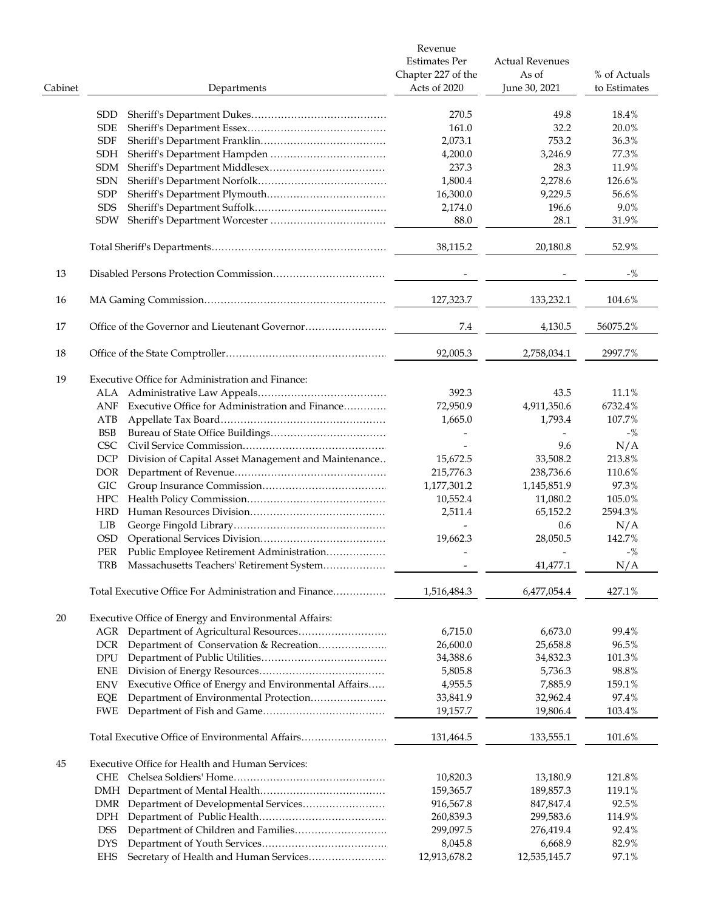|         |                                                                    | Revenue<br><b>Estimates Per</b><br>Chapter 227 of the | <b>Actual Revenues</b><br>As of | % of Actuals |
|---------|--------------------------------------------------------------------|-------------------------------------------------------|---------------------------------|--------------|
| Cabinet | Departments                                                        | Acts of 2020                                          | June 30, 2021                   | to Estimates |
|         | <b>SDD</b>                                                         | 270.5                                                 | 49.8                            | 18.4%        |
|         | <b>SDE</b>                                                         | 161.0                                                 | 32.2                            | 20.0%        |
|         | <b>SDF</b>                                                         | 2,073.1                                               | 753.2                           | 36.3%        |
|         | SDH                                                                | 4,200.0                                               | 3,246.9                         | 77.3%        |
|         |                                                                    | 237.3                                                 | 28.3                            |              |
|         | SDM                                                                |                                                       |                                 | 11.9%        |
|         | <b>SDN</b>                                                         | 1,800.4                                               | 2,278.6                         | 126.6%       |
|         | <b>SDP</b>                                                         | 16,300.0                                              | 9,229.5                         | 56.6%        |
|         | <b>SDS</b>                                                         | 2,174.0                                               | 196.6                           | 9.0%         |
|         | <b>SDW</b>                                                         | 88.0                                                  | 28.1                            | 31.9%        |
|         |                                                                    | 38,115.2                                              | 20,180.8                        | 52.9%        |
| 13      |                                                                    |                                                       |                                 | $-$ %        |
| 16      |                                                                    | 127,323.7                                             | 133,232.1                       | 104.6%       |
|         |                                                                    |                                                       |                                 |              |
| 17      |                                                                    | 7.4                                                   | 4,130.5                         | 56075.2%     |
| 18      |                                                                    | 92,005.3                                              | 2,758,034.1                     | 2997.7%      |
| 19      | Executive Office for Administration and Finance:                   |                                                       |                                 |              |
|         |                                                                    | 392.3                                                 | 43.5                            | 11.1%        |
|         | Executive Office for Administration and Finance<br>ANF             | 72,950.9                                              | 4,911,350.6                     | 6732.4%      |
|         | ATB                                                                | 1,665.0                                               | 1,793.4                         | 107.7%       |
|         | <b>BSB</b>                                                         |                                                       |                                 | $-$ %        |
|         | <b>CSC</b>                                                         |                                                       | 9.6                             | N/A          |
|         | Division of Capital Asset Management and Maintenance<br><b>DCP</b> | 15,672.5                                              | 33,508.2                        | 213.8%       |
|         |                                                                    |                                                       |                                 |              |
|         | DOR <sub>1</sub>                                                   | 215,776.3                                             | 238,736.6                       | 110.6%       |
|         | <b>GIC</b>                                                         | 1,177,301.2                                           | 1,145,851.9                     | 97.3%        |
|         | HPC                                                                | 10,552.4                                              | 11,080.2                        | 105.0%       |
|         | <b>HRD</b>                                                         | 2,511.4                                               | 65,152.2                        | 2594.3%      |
|         | LIB                                                                | $\overline{\phantom{a}}$                              | 0.6                             | N/A          |
|         | <b>OSD</b>                                                         | 19,662.3                                              | 28,050.5                        | 142.7%       |
|         | Public Employee Retirement Administration<br>PER                   |                                                       |                                 | $-$ %        |
|         | Massachusetts Teachers' Retirement System<br>TRB                   |                                                       | 41,477.1                        | N/A          |
|         | Total Executive Office For Administration and Finance              | 1,516,484.3                                           | 6,477,054.4                     | 427.1%       |
| 20      | Executive Office of Energy and Environmental Affairs:              |                                                       |                                 |              |
|         |                                                                    | 6,715.0                                               | 6,673.0                         | 99.4%        |
|         | Department of Conservation & Recreation<br>DCR                     | 26,600.0                                              | 25,658.8                        | 96.5%        |
|         |                                                                    | 34,388.6                                              | 34,832.3                        | 101.3%       |
|         | DPU                                                                |                                                       |                                 |              |
|         | <b>ENE</b>                                                         | 5,805.8                                               | 5,736.3                         | 98.8%        |
|         | Executive Office of Energy and Environmental Affairs<br>ENV        | 4,955.5                                               | 7,885.9                         | 159.1%       |
|         | Department of Environmental Protection<br>EQE                      | 33,841.9                                              | 32,962.4                        | 97.4%        |
|         | <b>FWE</b>                                                         | 19,157.7                                              | 19,806.4                        | 103.4%       |
|         | Total Executive Office of Environmental Affairs                    | 131,464.5                                             | 133,555.1                       | 101.6%       |
| 45      | Executive Office for Health and Human Services:                    |                                                       |                                 |              |
|         | CHE.                                                               | 10,820.3                                              | 13,180.9                        | 121.8%       |
|         |                                                                    | 159,365.7                                             | 189,857.3                       | 119.1%       |
|         |                                                                    |                                                       |                                 |              |
|         | Department of Developmental Services<br>DMR                        | 916,567.8                                             | 847,847.4                       | 92.5%        |
|         | DPH                                                                | 260,839.3                                             | 299,583.6                       | 114.9%       |
|         | Department of Children and Families<br><b>DSS</b>                  | 299,097.5                                             | 276,419.4                       | 92.4%        |
|         | <b>DYS</b>                                                         | 8,045.8                                               | 6,668.9                         | 82.9%        |
|         | Secretary of Health and Human Services<br><b>EHS</b>               | 12,913,678.2                                          | 12,535,145.7                    | 97.1%        |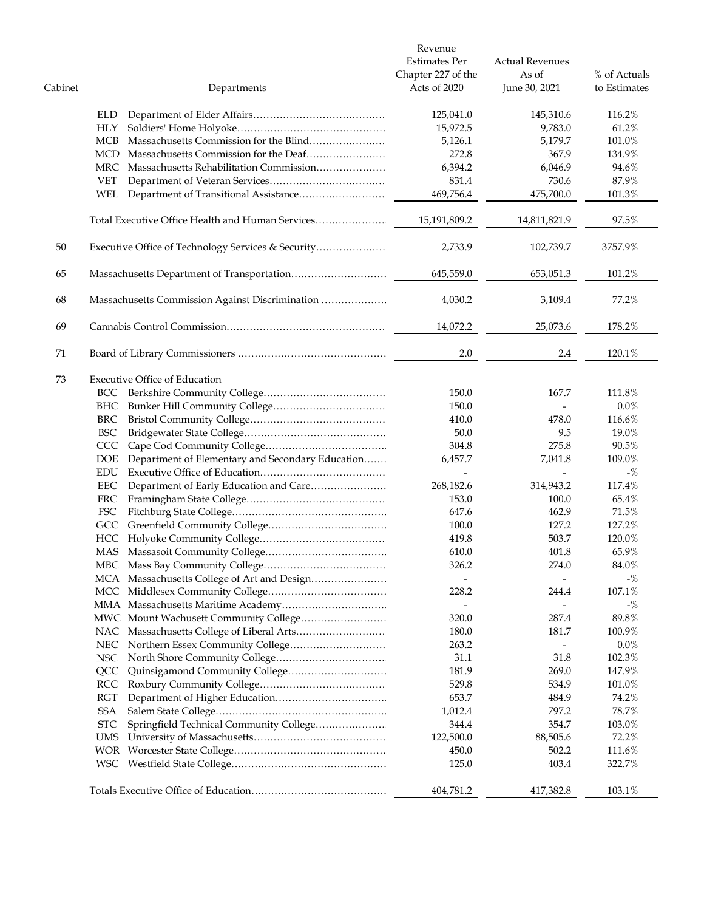| Cabinet | Departments                                           | Revenue<br><b>Estimates Per</b><br>Chapter 227 of the<br>Acts of 2020 | <b>Actual Revenues</b><br>As of<br>June 30, 2021 | % of Actuals<br>to Estimates |
|---------|-------------------------------------------------------|-----------------------------------------------------------------------|--------------------------------------------------|------------------------------|
|         |                                                       |                                                                       |                                                  |                              |
|         | ELD.                                                  | 125,041.0                                                             | 145,310.6                                        | 116.2%                       |
|         | <b>HLY</b>                                            | 15,972.5                                                              | 9,783.0                                          | 61.2%                        |
|         | MCB                                                   | 5,126.1                                                               | 5,179.7                                          | 101.0%                       |
|         | Massachusetts Commission for the Deaf<br><b>MCD</b>   | 272.8                                                                 | 367.9                                            | 134.9%                       |
|         | Massachusetts Rehabilitation Commission<br>MRC        | 6,394.2                                                               | 6,046.9                                          | 94.6%                        |
|         | <b>VET</b>                                            | 831.4                                                                 | 730.6                                            | 87.9%                        |
|         |                                                       | 469,756.4                                                             | 475,700.0                                        | 101.3%                       |
|         | Total Executive Office Health and Human Services      | 15,191,809.2                                                          | 14,811,821.9                                     | 97.5%                        |
| 50      | Executive Office of Technology Services & Security    | 2,733.9                                                               | 102,739.7                                        | 3757.9%                      |
| 65      |                                                       | 645,559.0                                                             | 653,051.3                                        | 101.2%                       |
| 68      |                                                       | 4,030.2                                                               | 3,109.4                                          | 77.2%                        |
| 69      |                                                       | 14,072.2                                                              | 25,073.6                                         | 178.2%                       |
| 71      |                                                       | 2.0                                                                   | 2.4                                              | 120.1%                       |
| 73      | <b>Executive Office of Education</b>                  |                                                                       |                                                  |                              |
|         | BCC                                                   | 150.0                                                                 | 167.7                                            | 111.8%                       |
|         | BHC                                                   | 150.0                                                                 | $\overline{\phantom{a}}$                         | $0.0\%$                      |
|         | BRC                                                   | 410.0                                                                 | 478.0                                            | 116.6%                       |
|         | <b>BSC</b>                                            | 50.0                                                                  | 9.5                                              | 19.0%                        |
|         | CCC                                                   | 304.8                                                                 | 275.8                                            | 90.5%                        |
|         | Department of Elementary and Secondary Education      | 6,457.7                                                               | 7,041.8                                          | 109.0%                       |
|         | DOE<br>EDU                                            |                                                                       |                                                  | $-$ %                        |
|         |                                                       |                                                                       |                                                  |                              |
|         | Department of Early Education and Care<br>EEC         | 268,182.6                                                             | 314,943.2                                        | 117.4%                       |
|         | FRC                                                   | 153.0                                                                 | 100.0                                            | 65.4%                        |
|         | FSC                                                   | 647.6                                                                 | 462.9                                            | 71.5%                        |
|         | GCC                                                   | 100.0                                                                 | 127.2                                            | 127.2%                       |
|         | HCC                                                   | 419.8                                                                 | 503.7                                            | 120.0%                       |
|         | MAS                                                   | 610.0                                                                 | 401.8                                            | 65.9%                        |
|         |                                                       | 326.2                                                                 | 274.0                                            | 84.0%                        |
|         | MCA Massachusetts College of Art and Design           |                                                                       |                                                  | $-$ %                        |
|         |                                                       | 228.2                                                                 | 244.4                                            | 107.1%                       |
|         |                                                       |                                                                       | $\qquad \qquad -$                                | $-$ %                        |
|         | MWC Mount Wachusett Community College                 | 320.0                                                                 | 287.4                                            | 89.8%                        |
|         |                                                       | 180.0                                                                 | 181.7                                            | 100.9%                       |
|         | NEC.                                                  | 263.2                                                                 |                                                  | $0.0\%$                      |
|         | NSC                                                   | 31.1                                                                  | 31.8                                             | 102.3%                       |
|         | QCC                                                   | 181.9                                                                 | 269.0                                            | 147.9%                       |
|         | RCC                                                   | 529.8                                                                 | 534.9                                            | 101.0%                       |
|         | RGT                                                   | 653.7                                                                 | 484.9                                            | 74.2%                        |
|         | SSA                                                   | 1,012.4                                                               | 797.2                                            | 78.7%                        |
|         | Springfield Technical Community College<br><b>STC</b> | 344.4                                                                 | 354.7                                            | 103.0%                       |
|         |                                                       |                                                                       |                                                  |                              |
|         | UMS                                                   | 122,500.0                                                             | 88,505.6                                         | 72.2%                        |
|         |                                                       | 450.0<br>125.0                                                        | 502.2<br>403.4                                   | 111.6%<br>322.7%             |
|         |                                                       |                                                                       |                                                  |                              |
|         |                                                       | 404,781.2                                                             | 417,382.8                                        | 103.1%                       |